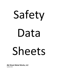# Safety Data Sheets

**J&J Sheet Metal Works, LLC** 

Updated 2021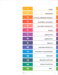| 1  | <b>ACIDS</b>                      |
|----|-----------------------------------|
| 2  | <b>ADHESIVES</b>                  |
| 3  | <b>CUTTING, GRINDING WHEELS</b>   |
| 4  | <b>CLEANERS, SOLVENTS</b>         |
| 5  | <b>DUCTMATE PRODUCTS</b>          |
| 6  | <b>GASES</b>                      |
| 7  | <b>INSULATION</b>                 |
| 8  | <b>LUBRICANTS</b>                 |
| 9  | <b>METALS</b>                     |
| 10 | <b>PAINTING PRODUCTS</b>          |
| 11 | <b>PLASTICS &amp; ACCESSORIES</b> |
| 12 | <b>SEALERS</b>                    |
| 13 | <b>WELDING SUPPLIES</b>           |
| 14 | <b>VEHICLE SUPPLIES</b>           |
| 15 | MISC.                             |

 $\begin{pmatrix} & & \\ & & \end{pmatrix}$ 

 $\alpha = \frac{1}{2}$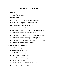# **Table of Contents**

# **1.ACIDS**

• Jasco Acetone (2014)

# **2.ADHESIVES**

- Duro Dyne Portable Adhesive (NPAC40) (2019)
- Weldwood Original Contact Cement (2013)

# **3.CUTTING, GRINDING WHEELS**

- Random Products Flap Disc (2015)
- Random Products Cutoff & Grinding Wheels (2015)
- United Abrasives Coated Abrasives (2018)
- United Abrasives Vitrified Grinding Wheels (2018)
- United Abrasives Grinding & Cutting Wheels (2017)
- United Abrasives Carbon Steel Wire Brushes
- United Abrasives Carbide Blades (2018)

# **4.CLEANERS, SOLVENTS**

- In-Cide v.5  $(2020)$
- Spray Disinfectant (2020)
- Perfect Stainless (2014)
- CRC Contact Cleaner (2014)
- Duro Dyne Stripper (2017)
- Chase Galv-Off (2020)
- Simple Green Concentrated Cleaner (2011)
- LPS CFC Free Aerosol (2017)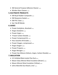- 3M General Purpose Adhesive Cleaner (2019)
- Windex Glass Cleaner (2019)

#### **5.DUCTMATE PRODUCTS**

- DM Buytl Rubber Composite (2015)
- DM Neoprene Gasket (2015)
- DM PVC Cleat (2016)
- See Tab #9 Metals

#### **6.GASES**

- Praxair Acetylene, dissolved (2016)
- Airgas Acetylene (2018)
- Praxair Argon (2020)
- $\bullet$  Praxair Carbon Dioxide  $_{(2020)}$
- Praxair Compressed Air (2019)
- $\bullet$  Hess Gasoline All Grades  $_{2012}$
- Praxair Oxygen, compressed (2020)
- Airgas Oxygen (2018)
- Praxair Propane (2019)
- Airgas Nitrogen (2019)
- Praxair Gas Mixture (Helium, Argon, Carbon Dioxide) (2016)

#### **7.INSULATION**

- UV Inhibited Black Jacket Flex Duct  $_{2015}$
- Mason Glass Mineral Wool Insulation (Brown) (2018)
- Mason Mineral Wool Insulation (Yellow) (2018)
- Johns Manville Duct Board, Liner (2021)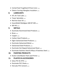- CertainTeed ToughGard R Duct Liner (2018)
- Owens Corning Fiberglass Insulation (2021)

#### **8. LUBRICANTS**

- ATL Air Tool Lube (2020)
- Tower Spiralube (2015)
- Red line Gear Oil  $_{(2011)}$
- ExxonMobil Mobilgear 600 XP 200 (2021)
- $\bullet$  WD-40 (2019)

#### **9. METALS**

- Ductmate Aluminized Steel Products (2019)
- $\bullet$  Brass  $(2010)$
- Copper (2005)
- Carbon Steel Products (2019)
- Elgen Galvanized Steel Products (2016)
- Ductmate Galvanized Metal (2018)
- Galvanneal Steel Products (2009)
- Ductmate Hot Dipped Galvanneal Sheet (2017)
- Ductmate Stainless Steel & Alloys of Stainless Steel (2014)

#### **10. PAINTING PRODUCTS**

• Krylon ColorMaster Paint and Primer (2021)

#### **11. PLASTICS & ACCESSORIES**

- Solus PVC & CPVC (2002)
- Ductmate PVC Cleats (2009)
- Hercules PVC Cement (2017)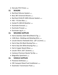• Hercules PVC Primer (2009)

#### **12. SEALERS**

- Red Devil Silicone Sealant (2017)
- Boss 387 Universal Silicone (2015)
- Red Devil HVAC/R 100% Silicone Sealant (2012)
- $\bullet$  Hilti FS-One Max (2015)
- Henkel PL-400 All Weather (2015)
- Ductmate Everseal (2020)
- Ductmate Proseal (2020)
- Ductmate Lag-It (2020)

#### **13. WELDING SUPPLIES**

- Harris Stainless Steel Wire/Rods & Tig (2017)
- 1100 Alum. Welding and Metaling Wire (2019)
- Lincoln Electric Fleetweld 35LS 1/8" (3.2mm) (2019)
- Harris Stay-Silv Black Brazing Flux (2017)
- Harris Stay-Silv White Brazing Flux (2017)
- Harris Copper Based Alloys (2017)
- Lincoln 70S-6 .025" (0.6mm) (2018)
- Cantesco Premium Nozzle Tip Dip (2015)
- Magnaflux Spotcheck (2006)

#### **14. VEHICLE SUPPLIES**

- Prestone Antifreeze (2015)
- CRC Carquest Diesel Fuel Conditioner (2010)
- Automatic Transmission Fluid  $_{2012}$